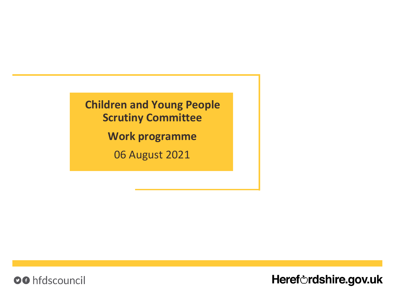**Children and Young People Scrutiny Committee**

**Work programme**

06 August 2021

OO hfdscouncil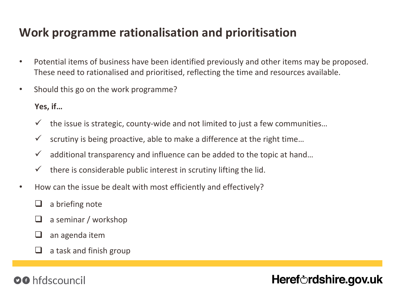# **Work programme rationalisation and prioritisation**

- Potential items of business have been identified previously and other items may be proposed. These need to rationalised and prioritised, reflecting the time and resources available.
- Should this go on the work programme?

**Yes, if…**

- $\checkmark$  the issue is strategic, county-wide and not limited to just a few communities...
- $\checkmark$  scrutiny is being proactive, able to make a difference at the right time...
- $\checkmark$  additional transparency and influence can be added to the topic at hand...
- $\checkmark$  there is considerable public interest in scrutiny lifting the lid.
- How can the issue be dealt with most efficiently and effectively?
	- a briefing note
	- q a seminar / workshop
	- an agenda item
	- q a task and finish group

#### **OO** hfdscouncil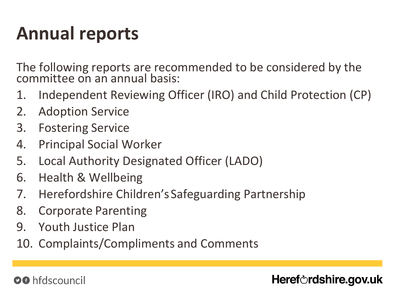# **Annual reports**

The following reports are recommended to be considered by the committee on an annual basis:

- 1. Independent Reviewing Officer (IRO) and Child Protection (CP)
- 2. Adoption Service
- 3. Fostering Service
- 4. Principal Social Worker
- 5. Local Authority Designated Officer (LADO)
- 6. Health & Wellbeing
- 7. Herefordshire Children's Safeguarding Partnership
- 8. Corporate Parenting
- 9. Youth Justice Plan
- 10. Complaints/Compliments and Comments

# **OO** hfdscouncil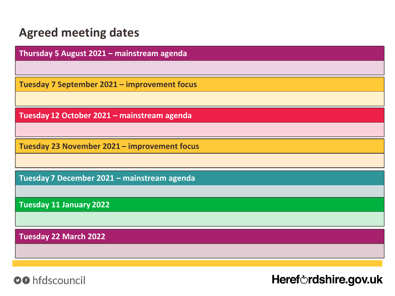#### **Agreed meeting dates**

**Thursday 5 August 2021 – mainstream agenda**

**Tuesday 7 September 2021 – improvement focus**

**Tuesday 12 October 2021 – mainstream agenda**

**Tuesday 23 November 2021 – improvement focus**

**Tuesday 7 December 2021 – mainstream agenda**

**Tuesday 11 January 2022**

**Tuesday 22 March 2022**

OO hfdscouncil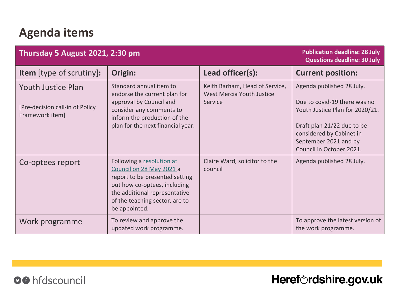| $\mathcal{A}$                                  | $\frac{1}{2}$             |                                                                                                                          | $\#$                                                                                       |
|------------------------------------------------|---------------------------|--------------------------------------------------------------------------------------------------------------------------|--------------------------------------------------------------------------------------------|
| $=$<br>$\mathcal{A}$                           | 8 ><br>$\sim$ $\sim$      | $1 \quad 2$ ,<br>$\overline{0}$                                                                                          |                                                                                            |
| #<br>#<br>$\equiv$<br>$\overline{0}$<br>$\, >$ | $\sim$<br>$\gamma$        | $^{\copyright}$<br>8<br><b>MA</b><br>$\overline{2}$<br>$\, {\bf B}$<br>$\mathcal{L}=\mathcal{L}(\mathcal{L})$ .<br>$\,<$ | 9<br>$\prec$<br>$\#$ :<br>$5\phantom{.0}$<br>Ą,<br>$\lt$<br>$\mathbf{J}$<br>$5\phantom{.}$ |
| #                                              | $\overline{0}$<br>9B<br># | $\sim$ 2<br>$\sim$                                                                                                       | ÷<br><b>Card</b><br>9 <                                                                    |
| 2                                              |                           |                                                                                                                          |                                                                                            |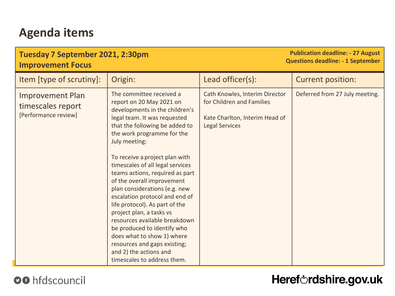| Tuesday 7 September 2021, 2:30pm<br><b>Improvement Focus</b>         |                                                                                                                                                                                                                                                                                                                                                                                                                                                                                                                                                                                                                                                                        | <b>Publication deadline: - 27 August</b><br><b>Questions deadline: - 1 September</b>                                   |                                |
|----------------------------------------------------------------------|------------------------------------------------------------------------------------------------------------------------------------------------------------------------------------------------------------------------------------------------------------------------------------------------------------------------------------------------------------------------------------------------------------------------------------------------------------------------------------------------------------------------------------------------------------------------------------------------------------------------------------------------------------------------|------------------------------------------------------------------------------------------------------------------------|--------------------------------|
| Item [type of scrutiny]:                                             | Origin:                                                                                                                                                                                                                                                                                                                                                                                                                                                                                                                                                                                                                                                                | Lead officer(s):                                                                                                       | <b>Current position:</b>       |
| <b>Improvement Plan</b><br>timescales report<br>[Performance review] | The committee received a<br>report on 20 May 2021 on<br>developments in the children's<br>legal team. It was requested<br>that the following be added to<br>the work programme for the<br>July meeting:<br>To receive a project plan with<br>timescales of all legal services<br>teams actions, required as part<br>of the overall improvement<br>plan considerations (e.g. new<br>escalation protocol and end of<br>life protocol). As part of the<br>project plan, a tasks vs<br>resources available breakdown<br>be produced to identify who<br>does what to show 1) where<br>resources and gaps existing;<br>and 2) the actions and<br>timescales to address them. | Cath Knowles, Interim Director<br>for Children and Families<br>Kate Charlton, Interim Head of<br><b>Legal Services</b> | Deferred from 27 July meeting. |

#### OO hfdscouncil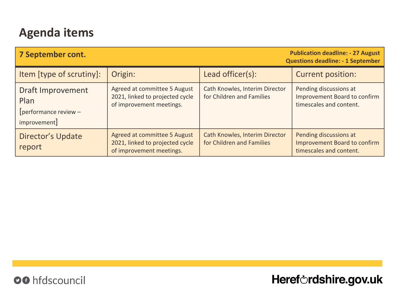| <b>Publication deadline: - 27 August</b><br><b>7 September cont.</b><br><b>Questions deadline: - 1 September</b> |                                                                                             |                                                             |                                                                                          |
|------------------------------------------------------------------------------------------------------------------|---------------------------------------------------------------------------------------------|-------------------------------------------------------------|------------------------------------------------------------------------------------------|
| Item [type of scrutiny]:                                                                                         | Origin:                                                                                     | Lead officer(s):                                            | <b>Current position:</b>                                                                 |
| <b>Draft Improvement</b><br>Plan<br>$performance$ review $-$<br>improvement                                      | Agreed at committee 5 August<br>2021, linked to projected cycle<br>of improvement meetings. | Cath Knowles, Interim Director<br>for Children and Families | Pending discussions at<br>Improvement Board to confirm<br>timescales and content.        |
| <b>Director's Update</b><br>report                                                                               | Agreed at committee 5 August<br>2021, linked to projected cycle<br>of improvement meetings. | Cath Knowles, Interim Director<br>for Children and Families | Pending discussions at<br><b>Improvement Board to confirm</b><br>timescales and content. |

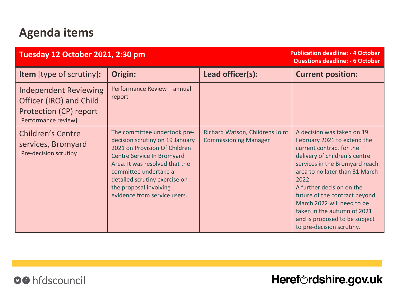| Tuesday 12 October 2021, 2:30 pm                                                                          |                                                                                                                                                                                                                                                                                      |                                                                 | <b>Publication deadline: - 4 October</b><br><b>Questions deadline: - 6 October</b>                                                                                                                                                                                                                                                                                                           |
|-----------------------------------------------------------------------------------------------------------|--------------------------------------------------------------------------------------------------------------------------------------------------------------------------------------------------------------------------------------------------------------------------------------|-----------------------------------------------------------------|----------------------------------------------------------------------------------------------------------------------------------------------------------------------------------------------------------------------------------------------------------------------------------------------------------------------------------------------------------------------------------------------|
| <b>Item</b> [type of scrutiny]:                                                                           | Origin:                                                                                                                                                                                                                                                                              | Lead officer(s):                                                | <b>Current position:</b>                                                                                                                                                                                                                                                                                                                                                                     |
| <b>Independent Reviewing</b><br>Officer (IRO) and Child<br>Protection (CP) report<br>[Performance review] | Performance Review - annual<br>report                                                                                                                                                                                                                                                |                                                                 |                                                                                                                                                                                                                                                                                                                                                                                              |
| <b>Children's Centre</b><br>services, Bromyard<br>[Pre-decision scrutiny]                                 | The committee undertook pre-<br>decision scrutiny on 19 January<br>2021 on Provision Of Children<br>Centre Service In Bromyard<br>Area. It was resolved that the<br>committee undertake a<br>detailed scrutiny exercise on<br>the proposal involving<br>evidence from service users. | Richard Watson, Childrens Joint<br><b>Commissioning Manager</b> | A decision was taken on 19<br>February 2021 to extend the<br>current contract for the<br>delivery of children's centre<br>services in the Bromyard reach<br>area to no later than 31 March<br>2022.<br>A further decision on the<br>future of the contract beyond<br>March 2022 will need to be<br>taken in the autumn of 2021<br>and is proposed to be subject<br>to pre-decision scrutiny. |

OO hfdscouncil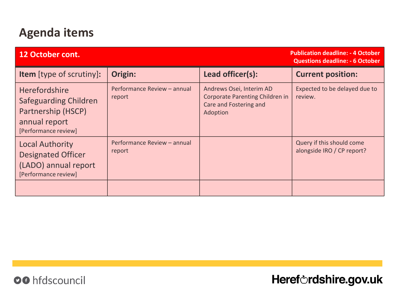| <b>12 October cont.</b>                                                                                             |                                       |                                                                                                   | <b>Publication deadline: - 4 October</b><br><b>Questions deadline: - 6 October</b> |
|---------------------------------------------------------------------------------------------------------------------|---------------------------------------|---------------------------------------------------------------------------------------------------|------------------------------------------------------------------------------------|
| <b>Item</b> [type of scrutiny]:                                                                                     | Origin:                               | Lead officer(s):                                                                                  | <b>Current position:</b>                                                           |
| <b>Herefordshire</b><br><b>Safeguarding Children</b><br>Partnership (HSCP)<br>annual report<br>[Performance review] | Performance Review - annual<br>report | Andrews Osei, Interim AD<br>Corporate Parenting Children in<br>Care and Fostering and<br>Adoption | Expected to be delayed due to<br>review.                                           |
| <b>Local Authority</b><br><b>Designated Officer</b><br>(LADO) annual report<br>[Performance review]                 | Performance Review - annual<br>report |                                                                                                   | Query if this should come<br>alongside IRO / CP report?                            |
|                                                                                                                     |                                       |                                                                                                   |                                                                                    |

OO hfdscouncil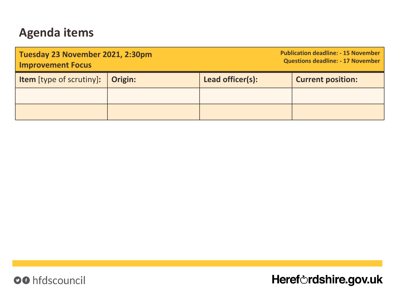| Tuesday 23 November 2021, 2:30pm<br><b>Improvement Focus</b> |  | <b>Publication deadline: - 15 November</b><br><b>Questions deadline: - 17 November</b> |  |
|--------------------------------------------------------------|--|----------------------------------------------------------------------------------------|--|
| <b>Item</b> [type of scrutiny]: $\vert$ <b>Origin:</b>       |  | Lead officer(s):<br><b>Current position:</b>                                           |  |
|                                                              |  |                                                                                        |  |
|                                                              |  |                                                                                        |  |

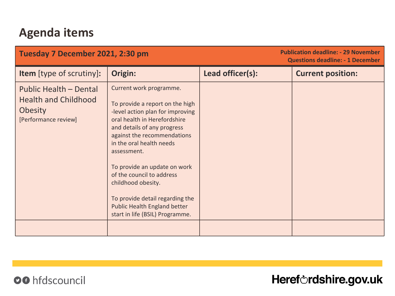| Tuesday 7 December 2021, 2:30 pm                                                                       |                                                                                                                                                                                                                                                                                                                                                                                                                                  | <b>Publication deadline: - 29 November</b><br><b>Questions deadline: - 1 December</b> |                          |
|--------------------------------------------------------------------------------------------------------|----------------------------------------------------------------------------------------------------------------------------------------------------------------------------------------------------------------------------------------------------------------------------------------------------------------------------------------------------------------------------------------------------------------------------------|---------------------------------------------------------------------------------------|--------------------------|
| <b>Item</b> [type of scrutiny]:                                                                        | Origin:                                                                                                                                                                                                                                                                                                                                                                                                                          | Lead officer(s):                                                                      | <b>Current position:</b> |
| <b>Public Health - Dental</b><br><b>Health and Childhood</b><br><b>Obesity</b><br>[Performance review] | Current work programme.<br>To provide a report on the high<br>-level action plan for improving<br>oral health in Herefordshire<br>and details of any progress<br>against the recommendations<br>in the oral health needs<br>assessment.<br>To provide an update on work<br>of the council to address<br>childhood obesity.<br>To provide detail regarding the<br>Public Health England better<br>start in life (BSIL) Programme. |                                                                                       |                          |

OO hfdscouncil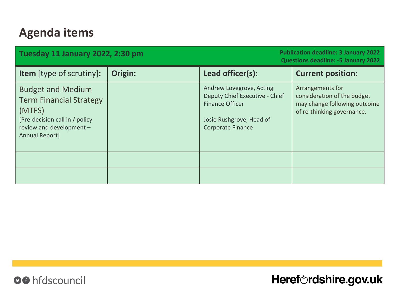| Tuesday 11 January 2022, 2:30 pm                                                                                                                      |         | <b>Publication deadline: 3 January 2022</b><br><b>Questions deadline: -5 January 2022</b>                                                    |                                                                                                               |
|-------------------------------------------------------------------------------------------------------------------------------------------------------|---------|----------------------------------------------------------------------------------------------------------------------------------------------|---------------------------------------------------------------------------------------------------------------|
| <b>Item</b> [type of scrutiny]:                                                                                                                       | Origin: | Lead officer(s):                                                                                                                             | <b>Current position:</b>                                                                                      |
| <b>Budget and Medium</b><br><b>Term Financial Strategy</b><br>(MTFS)<br>[Pre-decision call in / policy]<br>review and development -<br>Annual Report] |         | Andrew Lovegrove, Acting<br>Deputy Chief Executive - Chief<br><b>Finance Officer</b><br>Josie Rushgrove, Head of<br><b>Corporate Finance</b> | Arrangements for<br>consideration of the budget<br>may change following outcome<br>of re-thinking governance. |
|                                                                                                                                                       |         |                                                                                                                                              |                                                                                                               |
|                                                                                                                                                       |         |                                                                                                                                              |                                                                                                               |

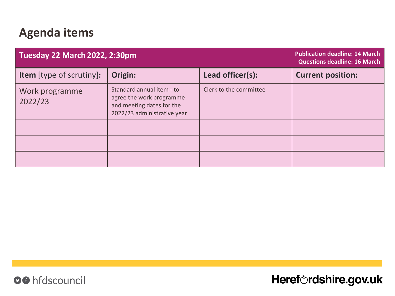| <b>Tuesday 22 March 2022, 2:30pm</b> |                                                                                                                   |                        | <b>Publication deadline: 14 March</b><br><b>Questions deadline: 16 March</b> |
|--------------------------------------|-------------------------------------------------------------------------------------------------------------------|------------------------|------------------------------------------------------------------------------|
| <b>Item</b> [type of scrutiny]:      | Origin:                                                                                                           | Lead officer(s):       | <b>Current position:</b>                                                     |
| Work programme<br>2022/23            | Standard annual item - to<br>agree the work programme<br>and meeting dates for the<br>2022/23 administrative year | Clerk to the committee |                                                                              |
|                                      |                                                                                                                   |                        |                                                                              |
|                                      |                                                                                                                   |                        |                                                                              |
|                                      |                                                                                                                   |                        |                                                                              |

OO hfdscouncil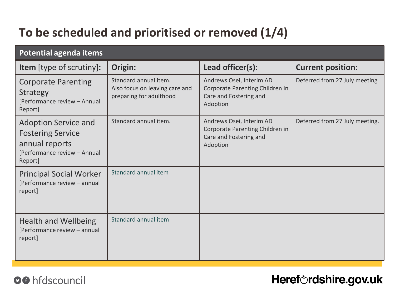# **To be scheduled and prioritised or removed (1/4)**

| <b>Potential agenda items</b>                                                                                        |                                                                                    |                                                                                                   |                                |
|----------------------------------------------------------------------------------------------------------------------|------------------------------------------------------------------------------------|---------------------------------------------------------------------------------------------------|--------------------------------|
| <b>Item</b> [type of scrutiny]:                                                                                      | Origin:                                                                            | Lead officer(s):                                                                                  | <b>Current position:</b>       |
| <b>Corporate Parenting</b><br><b>Strategy</b><br>[Performance review - Annual<br>Report]                             | Standard annual item.<br>Also focus on leaving care and<br>preparing for adulthood | Andrews Osei, Interim AD<br>Corporate Parenting Children in<br>Care and Fostering and<br>Adoption | Deferred from 27 July meeting  |
| <b>Adoption Service and</b><br><b>Fostering Service</b><br>annual reports<br>[Performance review - Annual<br>Report] | Standard annual item.                                                              | Andrews Osei, Interim AD<br>Corporate Parenting Children in<br>Care and Fostering and<br>Adoption | Deferred from 27 July meeting. |
| <b>Principal Social Worker</b><br>[Performance review - annual<br>report]                                            | Standard annual item                                                               |                                                                                                   |                                |
| <b>Health and Wellbeing</b><br>[Performance review - annual<br>report]                                               | Standard annual item                                                               |                                                                                                   |                                |

#### OO hfdscouncil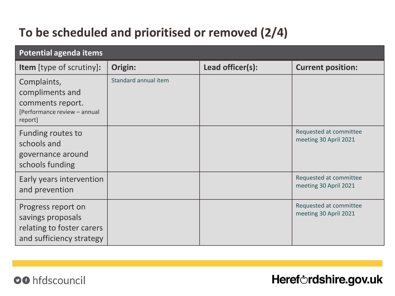# **To be scheduled and prioritised or removed (2/4)**

| Potential agenda items                                                                           |                      |                  |                                                 |
|--------------------------------------------------------------------------------------------------|----------------------|------------------|-------------------------------------------------|
| <b>Item</b> [type of scrutiny]:                                                                  | Origin:              | Lead officer(s): | <b>Current position:</b>                        |
| Complaints,<br>compliments and<br>comments report.<br>[Performance review - annual<br>report]    | Standard annual item |                  |                                                 |
| Funding routes to<br>schools and<br>governance around<br>schools funding                         |                      |                  | Requested at committee<br>meeting 30 April 2021 |
| Early years intervention<br>and prevention                                                       |                      |                  | Requested at committee<br>meeting 30 April 2021 |
| Progress report on<br>savings proposals<br>relating to foster carers<br>and sufficiency strategy |                      |                  | Requested at committee<br>meeting 30 April 2021 |

OO hfdscouncil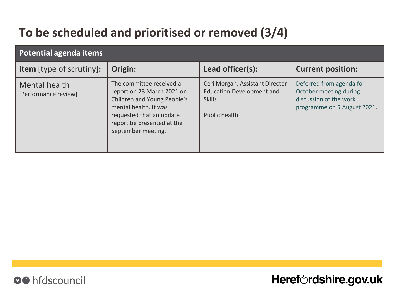# **To be scheduled and prioritised or removed (3/4)**

| Potential agenda items                |                                                                                                                                                                                                |                                                                                                       |                                                                                                             |  |
|---------------------------------------|------------------------------------------------------------------------------------------------------------------------------------------------------------------------------------------------|-------------------------------------------------------------------------------------------------------|-------------------------------------------------------------------------------------------------------------|--|
| <b>Item</b> [type of scrutiny]:       | Origin:                                                                                                                                                                                        | Lead officer(s):                                                                                      | <b>Current position:</b>                                                                                    |  |
| Mental health<br>[Performance review] | The committee received a<br>report on 23 March 2021 on<br>Children and Young People's<br>mental health. It was<br>requested that an update<br>report be presented at the<br>September meeting. | Ceri Morgan, Assistant Director<br><b>Education Development and</b><br><b>Skills</b><br>Public health | Deferred from agenda for<br>October meeting during<br>discussion of the work<br>programme on 5 August 2021. |  |
|                                       |                                                                                                                                                                                                |                                                                                                       |                                                                                                             |  |

OO hfdscouncil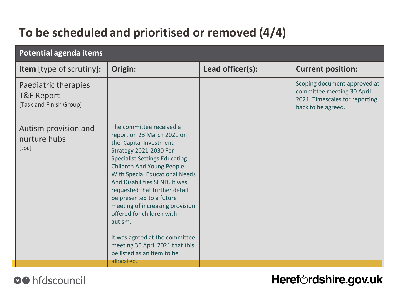# **To be scheduled and prioritised or removed (4/4)**

| <b>Potential agenda items</b>                                 |                                                                                                                                                                                                                                                                                                                                                                                                                                                                                                                           |                  |                                                                                                                    |  |
|---------------------------------------------------------------|---------------------------------------------------------------------------------------------------------------------------------------------------------------------------------------------------------------------------------------------------------------------------------------------------------------------------------------------------------------------------------------------------------------------------------------------------------------------------------------------------------------------------|------------------|--------------------------------------------------------------------------------------------------------------------|--|
| <b>Item</b> [type of scrutiny]:                               | Origin:                                                                                                                                                                                                                                                                                                                                                                                                                                                                                                                   | Lead officer(s): | <b>Current position:</b>                                                                                           |  |
| Paediatric therapies<br>T&F Report<br>[Task and Finish Group] |                                                                                                                                                                                                                                                                                                                                                                                                                                                                                                                           |                  | Scoping document approved at<br>committee meeting 30 April<br>2021. Timescales for reporting<br>back to be agreed. |  |
| Autism provision and<br>nurture hubs<br>[tbc]                 | The committee received a<br>report on 23 March 2021 on<br>the Capital Investment<br><b>Strategy 2021-2030 For</b><br><b>Specialist Settings Educating</b><br><b>Children And Young People</b><br>With Special Educational Needs<br>And Disabilities SEND. It was<br>requested that further detail<br>be presented to a future<br>meeting of increasing provision<br>offered for children with<br>autism.<br>It was agreed at the committee<br>meeting 30 April 2021 that this<br>be listed as an item to be<br>allocated. |                  |                                                                                                                    |  |

#### OO hfdscouncil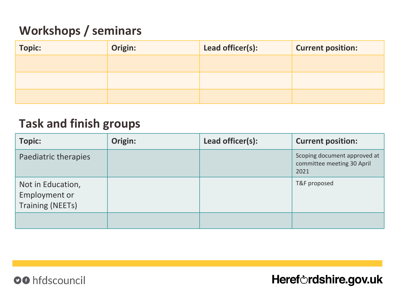# **Workshops / seminars**

| <b>Topic:</b> | Origin: | Lead officer(s): | <b>Current position:</b> |
|---------------|---------|------------------|--------------------------|
|               |         |                  |                          |
|               |         |                  |                          |
|               |         |                  |                          |

#### **Task and finish groups**

| <b>Topic:</b>                                                        | Origin: | Lead officer(s): | <b>Current position:</b>                                           |
|----------------------------------------------------------------------|---------|------------------|--------------------------------------------------------------------|
| Paediatric therapies                                                 |         |                  | Scoping document approved at<br>committee meeting 30 April<br>2021 |
| Not in Education,<br><b>Employment or</b><br><b>Training (NEETs)</b> |         |                  | T&F proposed                                                       |
|                                                                      |         |                  |                                                                    |